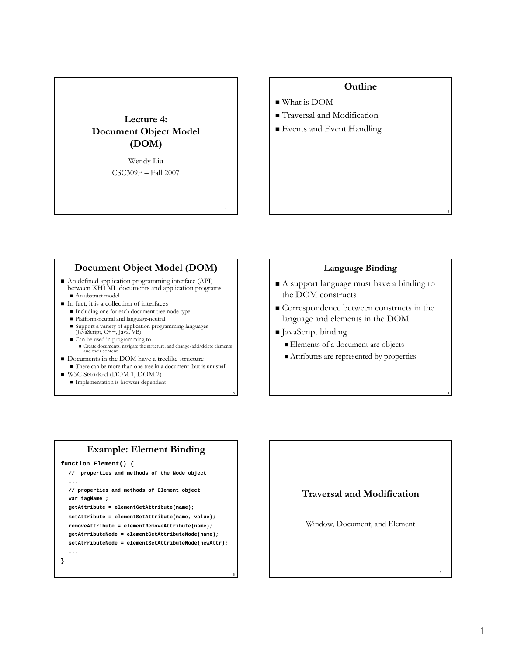# **Lecture 4: Document Object Model (DOM)**

Wendy Liu CSC309F – Fall 2007

1

3

5

# **Outline**

- What is DOM
- Traversal and Modification
- **Events and Event Handling**

## **Document Object Model (DOM)**

- An defined application programming interface (API) between XHTML documents and application programs An abstract model
- In fact, it is a collection of interfaces
	- Including one for each document tree node type
	- Platform-neutral and language-neutral
	- Support a variety of application programming languages (JavaScript, C++, Java, VB)
	- Can be used in programming to
	- $\blacksquare$  Create documents, navigate the structure, and change/add/delete elements and their content
- $\blacksquare$  Documents in the DOM have a treelike structure
- There can be more than one tree in a document (but is unusual)
- W3C Standard (DOM 1, DOM 2)
	- **Implementation is browser dependent**

### **Language Binding**

2

4

6

- A support language must have a binding to the DOM constructs
- Correspondence between constructs in the language and elements in the DOM
- JavaScript binding
	- Elements of a document are objects
	- Attributes are represented by properties

### **Example: Element Binding**

```
function Element() {
```
**}**

```
// properties and methods of the Node object 
...
// properties and methods of Element object
var tagName ;
getAttribute = elementGetAttribute(name); 
setAttribute = elementSetAttribute(name, value); 
removeAttribute = elementRemoveAttribute(name); 
getAtrributeNode = elementGetAttributeNode(name); 
setAtrributeNode = elementSetAttributeNode(newAttr); 
...
```
### **Traversal and Modification**

Window, Document, and Element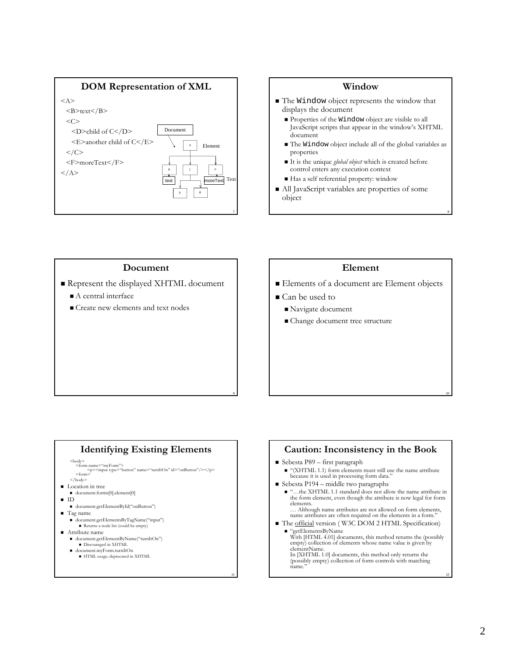

### **Window** ■ The Window object represents the window that displays the document Properties of the Window object are visible to all JavaScript scripts that appear in the window's XHTML document The Window object include all of the global variables as properties It is the unique *global object* which is created before control enters any execution context Has a self referential property: window ■ All JavaScript variables are properties of some object

8

10

12

### **Document**

- Represent the displayed XHTML document
	- A central interface
	- Create new elements and text nodes

### **Element**

- Elements of a document are Element objects
- Can be used to

9

11

- Navigate document
- Change document tree structure

### **Identifying Existing Elements**

<br/>body> <form name="myForm"> <p><input type="button" name="turnItOn" id="onButton"/></p></p></inm>

- </body>
- **Location** in tree
- document.forms[0].element[0]
- $\blacksquare$  ID
- document.getElementById("onButton")
- Tag name
	- document.getElementsByTagName("input") Returns a node list (could be empty)
- Attribute name
- document.getElementByName("turnItOn")
- Discouraged in XHTML document.myForm.turnItOn
- HTML usage; deprecated in XHTML

### **Caution: Inconsistency in the Book** Sebesta P89 – first paragraph "(XHTML 1.1) form elements must still use the name attribute because it is used in processing form data."  $\blacksquare$  Sebesta P194 – middle two paragraphs ■ "…the XHTML 1.1 standard does not allow the name attribute in the form element, even though the attribute is now legal for form elements. … Although name attributes are not allowed on form elements, name attributes are often required on the elements in a form. The official version (W3C DOM 2 HTML Specification) "getElementsByName With [HTML 4.01] documents, this method returns the (possibly empty) collection of elements whose name value is given by

elementName. In [XHTML 1.0] documents, this method only returns the (possibly empty) collection of form controls with matching name."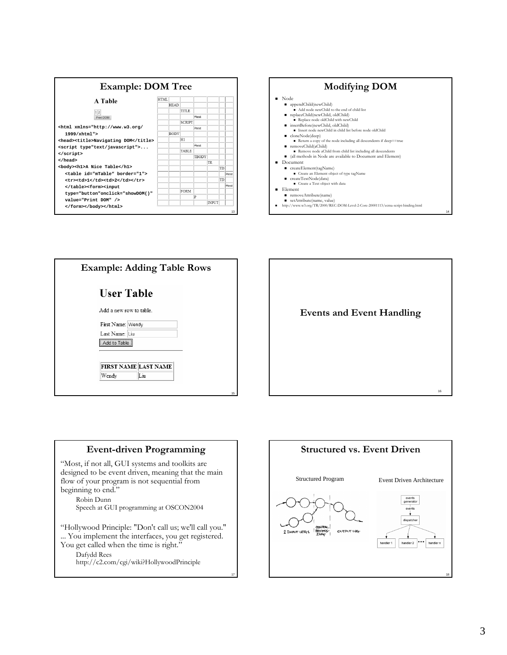



| <b>Example: Adding Table Rows</b> |                                                     |    |
|-----------------------------------|-----------------------------------------------------|----|
|                                   | <b>User Table</b>                                   |    |
|                                   | Add a new row to table                              |    |
|                                   | First Name: Wendy<br>Last Name: Liu<br>Add to Table |    |
|                                   | <b>FIRST NAME LAST NAME</b><br>Liu<br>Wendy         |    |
|                                   |                                                     | 15 |



### **Event-driven Programming**

"Most, if not all, GUI systems and toolkits are designed to be event driven, meaning that the main flow of your program is not sequential from beginning to end." Robin Dunn Speech at GUI programming at OSCON2004 "Hollywood Principle: "Don't call us; we'll call you." ... You implement the interfaces, you get registered. You get called when the time is right." Dafydd Rees http://c2.com/cgi/wiki?HollywoodPrinciple

17

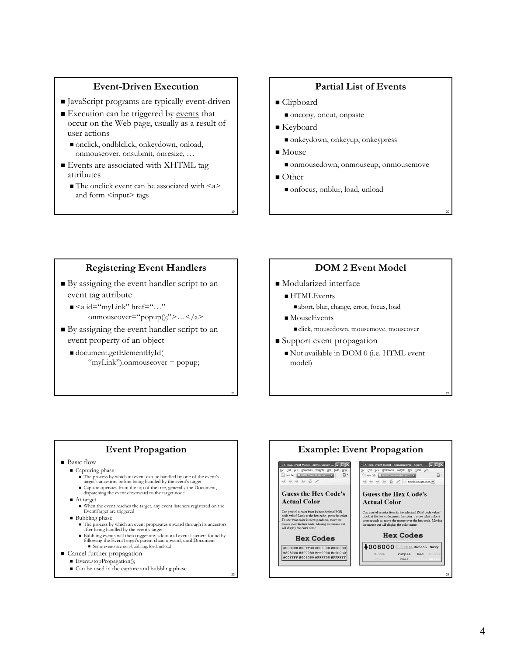## **Event-Driven Execution**

- JavaScript programs are typically event-driven
- Execution can be triggered by events that occur on the Web page, usually as a result of user actions
	- onclick, ondblclick, onkeydown, onload, onmouseover, onsubmit, onresize, …
- Events are associated with XHTML tag attributes
	- $\blacksquare$  The onclick event can be associated with  $\langle a \rangle$ and form <input> tags

### **Partial List of Events**

- Clipboard
	- oncopy, oncut, onpaste
- Keyboard
	- onkeydown, onkeyup, onkeypress
- Mouse
	- onmousedown, onmouseup, onmousemove
- Other

19

21

23

onfocus, onblur, load, unload

## **Registering Event Handlers**

- By assigning the event handler script to an event tag attribute
	- $\blacksquare$  <a id="myLink" href="..." onmouseover="popup();">…</a>
- By assigning the event handler script to an event property of an object
	- document.getElementById( "myLink").onmouseover = popup;

# **DOM 2 Event Model**

20

22

- Modularized interface
	- HTMLEvents abort, blur, change, error, focus, load
	- MouseEvents click, mousedown, mousemove, mouseover
- Support event propagation
	- Not available in DOM 0 (i.e. HTML event model)

### **Event Propagation**

### **Basic flow**

- Capturing phase
	- The process by which an event can be handled by one of the event's target's ancestors before being handled by the event's target
	-
	- Capture operates from the top of the tree, generally the Document, dispatching the event downward to the target node
- At target
	- When the event reaches the target, any event listeners registered on the EventTarget are triggered
- Bubbling phase
	- The process by which an event propagates upward through its ancestors<br>after being handled by the event's target<br>■ Bubbling events will then trigger any additional event listeners found by
	- following the EventTarget's parent chain upward, until Document Some events are non-bubbling: load, unload
- 
- Cancel further propagation Event.stopPropagation();
	-
	- $\blacksquare$  Can be used in the capture and bubbling phase